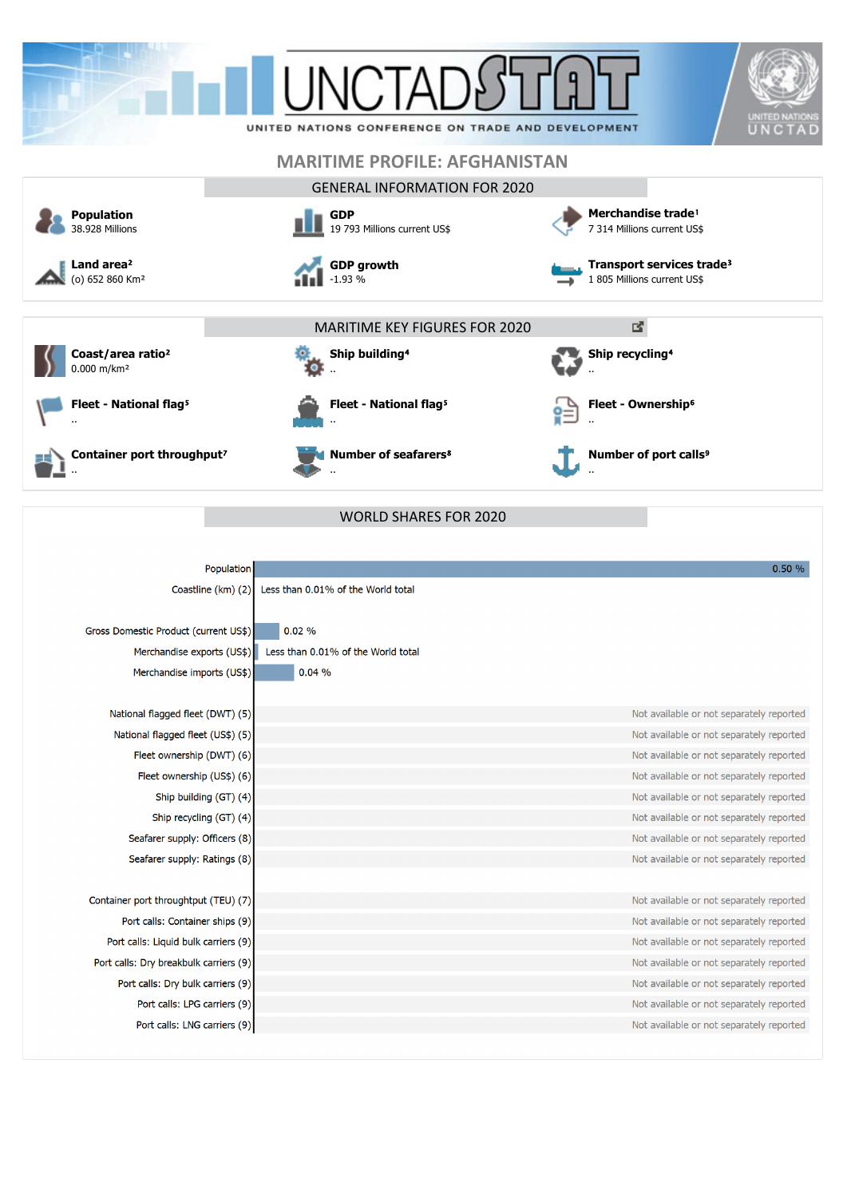



**Fleet - National flag<sup>5</sup>** ..

**Container port throughput?** ..





..

÷ö

**Fleet - National flag<sup>5</sup>** ..

**Ship building<sup>4</sup>** 

**Number of seafarers**⁸

MARITIME KEY FIGURES FOR 2020

**Ship recycling<sup>4</sup>** .. **Fleet - Ownership**⁶ È

図

..

..

**Number of port calls<sup>9</sup>** 

| Population                             |                                    | 0.50%                                    |
|----------------------------------------|------------------------------------|------------------------------------------|
| Coastline (km) (2)                     | Less than 0.01% of the World total |                                          |
|                                        |                                    |                                          |
| Gross Domestic Product (current US\$)  | 0.02%                              |                                          |
| Merchandise exports (US\$)             | Less than 0.01% of the World total |                                          |
| Merchandise imports (US\$)             | 0.04%                              |                                          |
|                                        |                                    |                                          |
| National flagged fleet (DWT) (5)       |                                    | Not available or not separately reported |
| National flagged fleet (US\$) (5)      |                                    | Not available or not separately reported |
| Fleet ownership (DWT) (6)              |                                    | Not available or not separately reported |
| Fleet ownership (US\$) (6)             |                                    | Not available or not separately reported |
| Ship building (GT) (4)                 |                                    | Not available or not separately reported |
| Ship recycling (GT) (4)                |                                    | Not available or not separately reported |
| Seafarer supply: Officers (8)          |                                    | Not available or not separately reported |
| Seafarer supply: Ratings (8)           |                                    | Not available or not separately reported |
|                                        |                                    |                                          |
| Container port throughtput (TEU) (7)   |                                    | Not available or not separately reported |
| Port calls: Container ships (9)        |                                    | Not available or not separately reported |
| Port calls: Liquid bulk carriers (9)   |                                    | Not available or not separately reported |
| Port calls: Dry breakbulk carriers (9) |                                    | Not available or not separately reported |
| Port calls: Dry bulk carriers (9)      |                                    | Not available or not separately reported |
| Port calls: LPG carriers (9)           |                                    | Not available or not separately reported |
| Port calls: LNG carriers (9)           |                                    | Not available or not separately reported |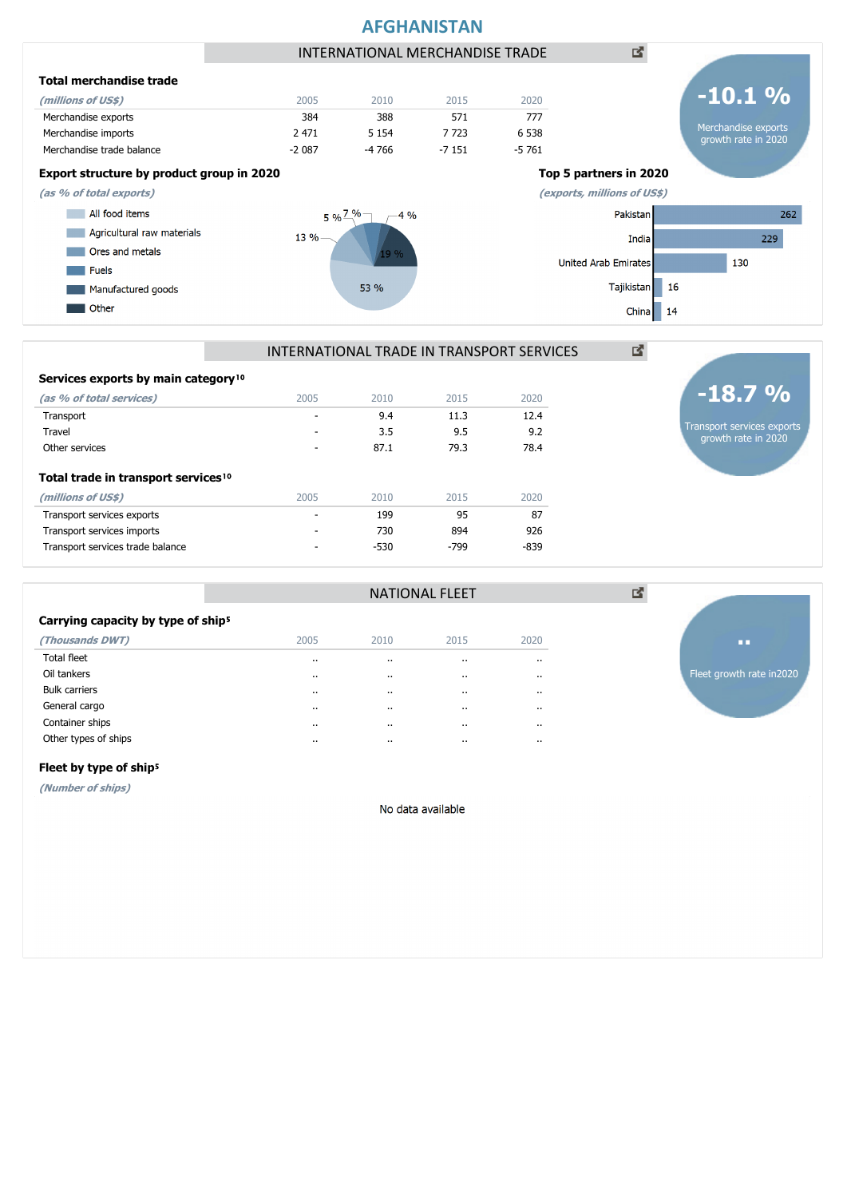

| Container ships      |  |  |
|----------------------|--|--|
| Other types of ships |  |  |

Carrying capacity by type of ship<sup>5</sup>

**Total trade in transport services<sup>10</sup>** 

Services exports by main category<sup>10</sup>

**(Thousands DWT)** 2005 2010 2015 2020 Total fleet .. .. .. .. Oil tankers .. .. .. .. Bulk carriers .. .. .. .. General cargo .. .. .. ..

**(millions of US\$)** 2005 2010 2015 2020 Transport services exports and the services exports of the services of the services exports of the services of the services of the services of the services of the services of the services of the services of the services of Transport services imports and the control of the control of the control of the control of the control of the control of the control of the control of the control of the control of the control of the control of the control Transport services trade balance  $\sim$  -  $\sim$  -530  $\sim$  -799  $\sim$  -839

**(as % of total services)** 2005 2010 2015 2020 Transport - 9.4 11.3 12.4 Travel - 3.5 9.5 9.2 Other services 287.1 79.3 78.4

#### Fleet by type of ship<sup>5</sup>

**(Number of ships)**

No data available

NATIONAL FLEET

Fleet growth rate in2020

**..**

図

Transport services exports growth rate in 2020

**-18.7 %**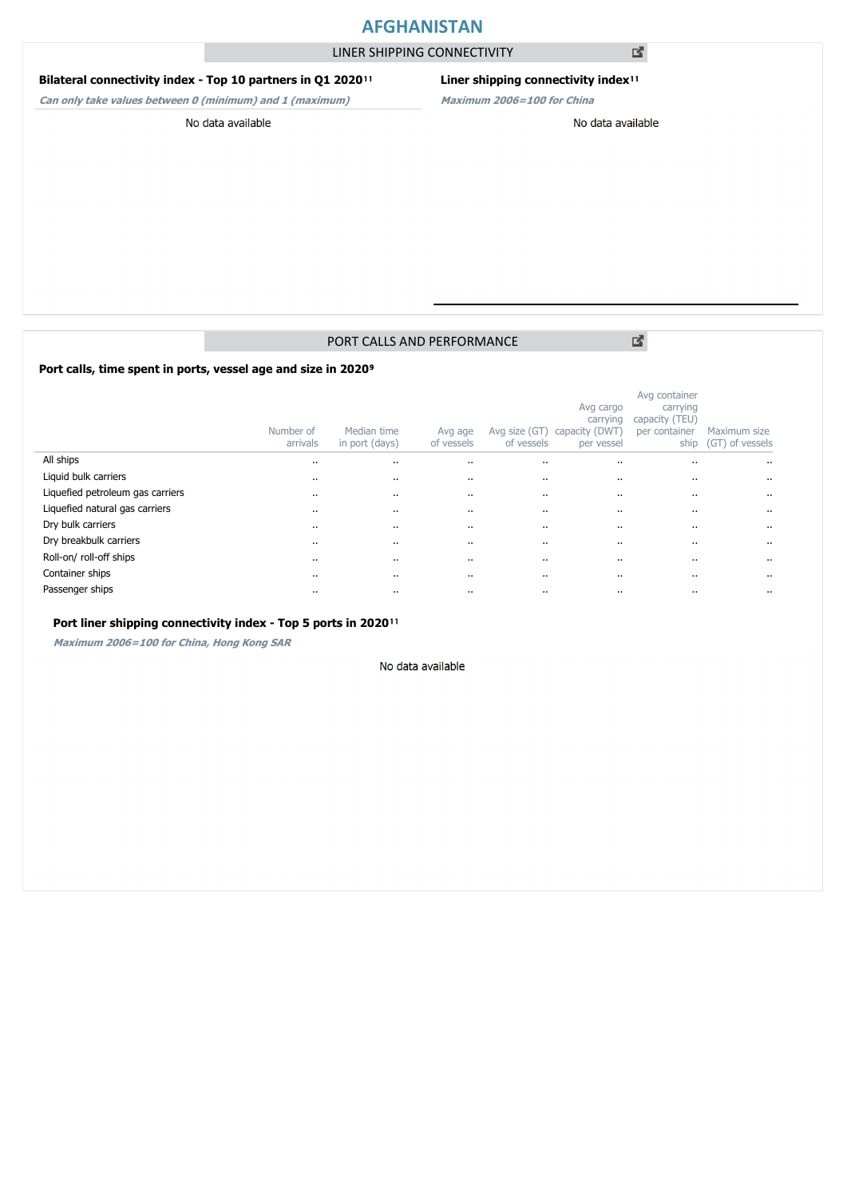## **AFGHANISTAN**

LINER SHIPPING CONNECTIVITY

### **Bilateral connectivity index - Top 10 partners in Q1 2020**<sup>11</sup>

**Can only take values between 0 (minimum) and 1 (maximum)**

## **Liner shipping connectivity index**<sup>11</sup>

**Maximum 2006=100 for China**

No data available

PORT CALLS AND PERFORMANCE

図

Port calls, time spent in ports, vessel age and size in 2020<sup>9</sup>

|                                  | Number of<br>arrivals | Median time<br>in port (days) | Avg age<br>of vessels | Avg size (GT)<br>of vessels | Avg cargo<br>carrying<br>capacity (DWT<br>per vessel | Avg container<br>carrying<br>capacity (TEU)<br>per container<br>ship | Maximum size<br>(GT) of vessels |
|----------------------------------|-----------------------|-------------------------------|-----------------------|-----------------------------|------------------------------------------------------|----------------------------------------------------------------------|---------------------------------|
| All ships                        | $\cdots$              |                               | $\cdots$              | $\cdots$                    | $\cdots$                                             |                                                                      | $\cdots$                        |
| Liquid bulk carriers             | $\cdots$              |                               | $\cdots$              | $\cdots$                    | $\cdots$                                             |                                                                      | $\cdots$                        |
| Liquefied petroleum gas carriers | $\cdots$              |                               |                       | $\cdots$                    | $\cdots$                                             |                                                                      | $\cdots$                        |
| Liquefied natural gas carriers   | $\cdot$               |                               | $\cdot$ .             | $\cdots$                    | $\cdots$                                             |                                                                      | $\cdots$                        |
| Dry bulk carriers                | $\cdots$              |                               |                       | $\cdots$                    | $\cdots$                                             |                                                                      | $\cdots$                        |
| Dry breakbulk carriers           | $\cdots$              |                               |                       | $\cdots$                    | $\cdots$                                             |                                                                      | $\cdots$                        |
| Roll-on/roll-off ships           | $\cdots$              |                               |                       | $\cdots$                    | $\cdots$                                             |                                                                      | $\cdot$ .                       |
| Container ships                  | $\cdots$              |                               |                       | $\cdots$                    | $\cdots$                                             |                                                                      | $\cdots$                        |
| Passenger ships                  | $\cdots$              |                               |                       | $\cdots$                    | $\cdots$                                             |                                                                      |                                 |

#### Port liner shipping connectivity index - Top 5 ports in 2020<sup>11</sup>

**Maximum 2006=100 for China, Hong Kong SAR**

#### No data available

図

No data available